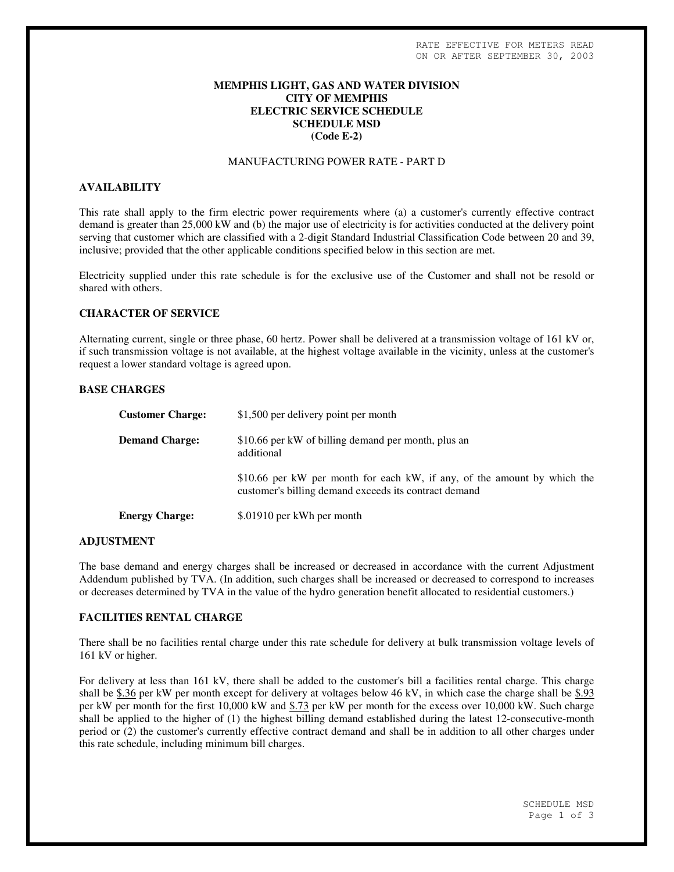# **MEMPHIS LIGHT, GAS AND WATER DIVISION CITY OF MEMPHIS ELECTRIC SERVICE SCHEDULE SCHEDULE MSD (Code E-2)**

## MANUFACTURING POWER RATE - PART D

## **AVAILABILITY**

This rate shall apply to the firm electric power requirements where (a) a customer's currently effective contract demand is greater than 25,000 kW and (b) the major use of electricity is for activities conducted at the delivery point serving that customer which are classified with a 2-digit Standard Industrial Classification Code between 20 and 39, inclusive; provided that the other applicable conditions specified below in this section are met.

Electricity supplied under this rate schedule is for the exclusive use of the Customer and shall not be resold or shared with others.

#### **CHARACTER OF SERVICE**

Alternating current, single or three phase, 60 hertz. Power shall be delivered at a transmission voltage of 161 kV or, if such transmission voltage is not available, at the highest voltage available in the vicinity, unless at the customer's request a lower standard voltage is agreed upon.

### **BASE CHARGES**

| <b>Customer Charge:</b> | \$1,500 per delivery point per month                                                                                              |
|-------------------------|-----------------------------------------------------------------------------------------------------------------------------------|
| <b>Demand Charge:</b>   | \$10.66 per kW of billing demand per month, plus an<br>additional                                                                 |
|                         | \$10.66 per kW per month for each kW, if any, of the amount by which the<br>customer's billing demand exceeds its contract demand |
| <b>Energy Charge:</b>   | \$.01910 per kWh per month                                                                                                        |

#### **ADJUSTMENT**

The base demand and energy charges shall be increased or decreased in accordance with the current Adjustment Addendum published by TVA. (In addition, such charges shall be increased or decreased to correspond to increases or decreases determined by TVA in the value of the hydro generation benefit allocated to residential customers.)

## **FACILITIES RENTAL CHARGE**

There shall be no facilities rental charge under this rate schedule for delivery at bulk transmission voltage levels of 161 kV or higher.

For delivery at less than 161 kV, there shall be added to the customer's bill a facilities rental charge. This charge shall be \$.36 per kW per month except for delivery at voltages below 46 kV, in which case the charge shall be \$.93 per kW per month for the first 10,000 kW and \$.73 per kW per month for the excess over 10,000 kW. Such charge shall be applied to the higher of (1) the highest billing demand established during the latest 12-consecutive-month period or (2) the customer's currently effective contract demand and shall be in addition to all other charges under this rate schedule, including minimum bill charges.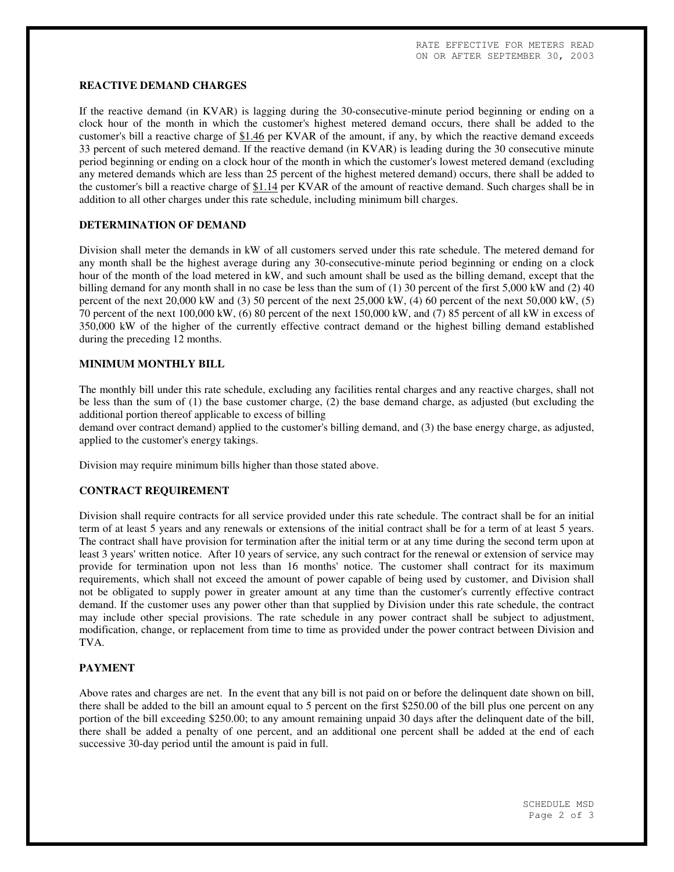## **REACTIVE DEMAND CHARGES**

If the reactive demand (in KVAR) is lagging during the 30-consecutive-minute period beginning or ending on a clock hour of the month in which the customer's highest metered demand occurs, there shall be added to the customer's bill a reactive charge of \$1.46 per KVAR of the amount, if any, by which the reactive demand exceeds 33 percent of such metered demand. If the reactive demand (in KVAR) is leading during the 30 consecutive minute period beginning or ending on a clock hour of the month in which the customer's lowest metered demand (excluding any metered demands which are less than 25 percent of the highest metered demand) occurs, there shall be added to the customer's bill a reactive charge of  $$1.14$  per KVAR of the amount of reactive demand. Such charges shall be in addition to all other charges under this rate schedule, including minimum bill charges.

## **DETERMINATION OF DEMAND**

Division shall meter the demands in kW of all customers served under this rate schedule. The metered demand for any month shall be the highest average during any 30-consecutive-minute period beginning or ending on a clock hour of the month of the load metered in kW, and such amount shall be used as the billing demand, except that the billing demand for any month shall in no case be less than the sum of  $(1)$  30 percent of the first 5,000 kW and  $(2)$  40 percent of the next 20,000 kW and (3) 50 percent of the next 25,000 kW, (4) 60 percent of the next 50,000 kW, (5) 70 percent of the next 100,000 kW, (6) 80 percent of the next 150,000 kW, and (7) 85 percent of all kW in excess of 350,000 kW of the higher of the currently effective contract demand or the highest billing demand established during the preceding 12 months.

## **MINIMUM MONTHLY BILL**

The monthly bill under this rate schedule, excluding any facilities rental charges and any reactive charges, shall not be less than the sum of (1) the base customer charge, (2) the base demand charge, as adjusted (but excluding the additional portion thereof applicable to excess of billing

demand over contract demand) applied to the customer's billing demand, and (3) the base energy charge, as adjusted, applied to the customer's energy takings.

Division may require minimum bills higher than those stated above.

#### **CONTRACT REQUIREMENT**

Division shall require contracts for all service provided under this rate schedule. The contract shall be for an initial term of at least 5 years and any renewals or extensions of the initial contract shall be for a term of at least 5 years. The contract shall have provision for termination after the initial term or at any time during the second term upon at least 3 years' written notice. After 10 years of service, any such contract for the renewal or extension of service may provide for termination upon not less than 16 months' notice. The customer shall contract for its maximum requirements, which shall not exceed the amount of power capable of being used by customer, and Division shall not be obligated to supply power in greater amount at any time than the customer's currently effective contract demand. If the customer uses any power other than that supplied by Division under this rate schedule, the contract may include other special provisions. The rate schedule in any power contract shall be subject to adjustment, modification, change, or replacement from time to time as provided under the power contract between Division and TVA.

#### **PAYMENT**

Above rates and charges are net. In the event that any bill is not paid on or before the delinquent date shown on bill, there shall be added to the bill an amount equal to 5 percent on the first \$250.00 of the bill plus one percent on any portion of the bill exceeding \$250.00; to any amount remaining unpaid 30 days after the delinquent date of the bill, there shall be added a penalty of one percent, and an additional one percent shall be added at the end of each successive 30-day period until the amount is paid in full.